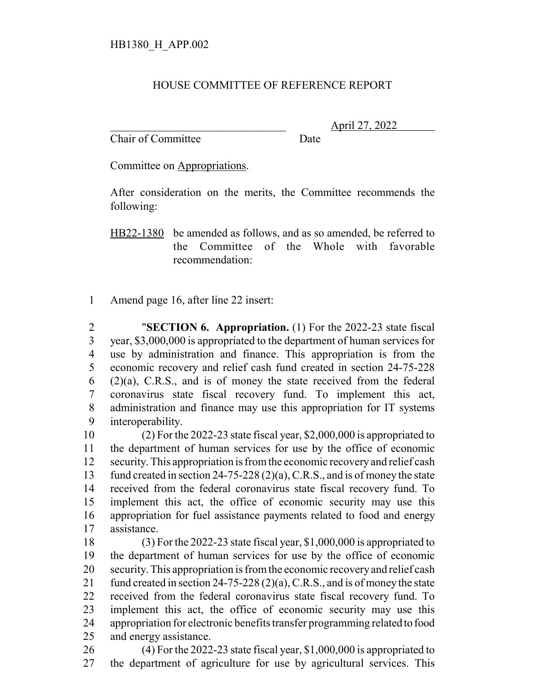## HOUSE COMMITTEE OF REFERENCE REPORT

Chair of Committee Date

\_\_\_\_\_\_\_\_\_\_\_\_\_\_\_\_\_\_\_\_\_\_\_\_\_\_\_\_\_\_\_ April 27, 2022

Committee on Appropriations.

After consideration on the merits, the Committee recommends the following:

HB22-1380 be amended as follows, and as so amended, be referred to the Committee of the Whole with favorable recommendation:

Amend page 16, after line 22 insert:

 "**SECTION 6. Appropriation.** (1) For the 2022-23 state fiscal year, \$3,000,000 is appropriated to the department of human services for use by administration and finance. This appropriation is from the economic recovery and relief cash fund created in section 24-75-228  $(2)(a)$ , C.R.S., and is of money the state received from the federal coronavirus state fiscal recovery fund. To implement this act, administration and finance may use this appropriation for IT systems interoperability.

 (2) For the 2022-23 state fiscal year, \$2,000,000 is appropriated to the department of human services for use by the office of economic security. This appropriation is from the economic recovery and relief cash fund created in section 24-75-228 (2)(a), C.R.S., and is of money the state received from the federal coronavirus state fiscal recovery fund. To implement this act, the office of economic security may use this appropriation for fuel assistance payments related to food and energy assistance.

 (3) For the 2022-23 state fiscal year, \$1,000,000 is appropriated to the department of human services for use by the office of economic security. This appropriation is from the economic recovery and relief cash fund created in section 24-75-228 (2)(a), C.R.S., and is of money the state received from the federal coronavirus state fiscal recovery fund. To implement this act, the office of economic security may use this appropriation for electronic benefits transfer programming related to food and energy assistance.

 (4) For the 2022-23 state fiscal year, \$1,000,000 is appropriated to the department of agriculture for use by agricultural services. This